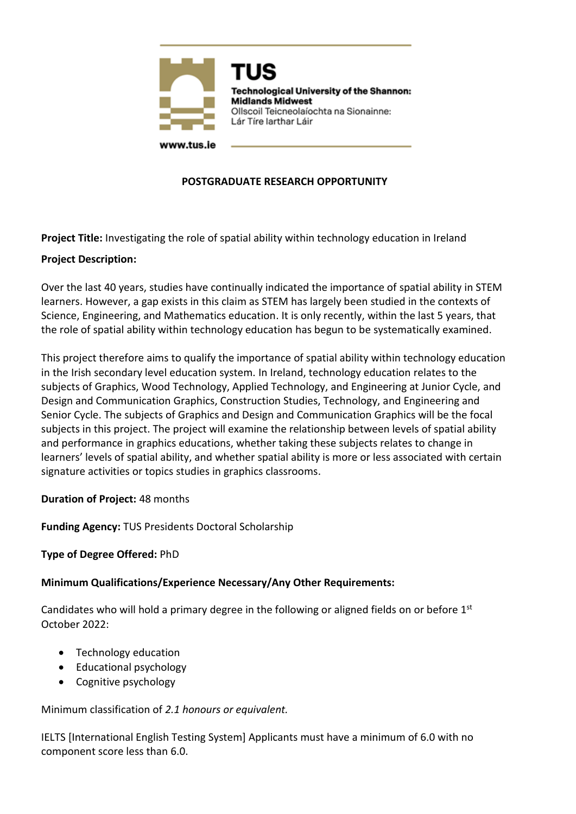

# **POSTGRADUATE RESEARCH OPPORTUNITY**

**Project Title:** Investigating the role of spatial ability within technology education in Ireland

### **Project Description:**

Over the last 40 years, studies have continually indicated the importance of spatial ability in STEM learners. However, a gap exists in this claim as STEM has largely been studied in the contexts of Science, Engineering, and Mathematics education. It is only recently, within the last 5 years, that the role of spatial ability within technology education has begun to be systematically examined.

This project therefore aims to qualify the importance of spatial ability within technology education in the Irish secondary level education system. In Ireland, technology education relates to the subjects of Graphics, Wood Technology, Applied Technology, and Engineering at Junior Cycle, and Design and Communication Graphics, Construction Studies, Technology, and Engineering and Senior Cycle. The subjects of Graphics and Design and Communication Graphics will be the focal subjects in this project. The project will examine the relationship between levels of spatial ability and performance in graphics educations, whether taking these subjects relates to change in learners' levels of spatial ability, and whether spatial ability is more or less associated with certain signature activities or topics studies in graphics classrooms.

### **Duration of Project:** 48 months

**Funding Agency:** TUS Presidents Doctoral Scholarship

#### **Type of Degree Offered:** PhD

#### **Minimum Qualifications/Experience Necessary/Any Other Requirements:**

Candidates who will hold a primary degree in the following or aligned fields on or before  $1<sup>st</sup>$ October 2022:

- Technology education
- Educational psychology
- Cognitive psychology

Minimum classification of *2.1 honours or equivalent.*

IELTS [International English Testing System] Applicants must have a minimum of 6.0 with no component score less than 6.0.